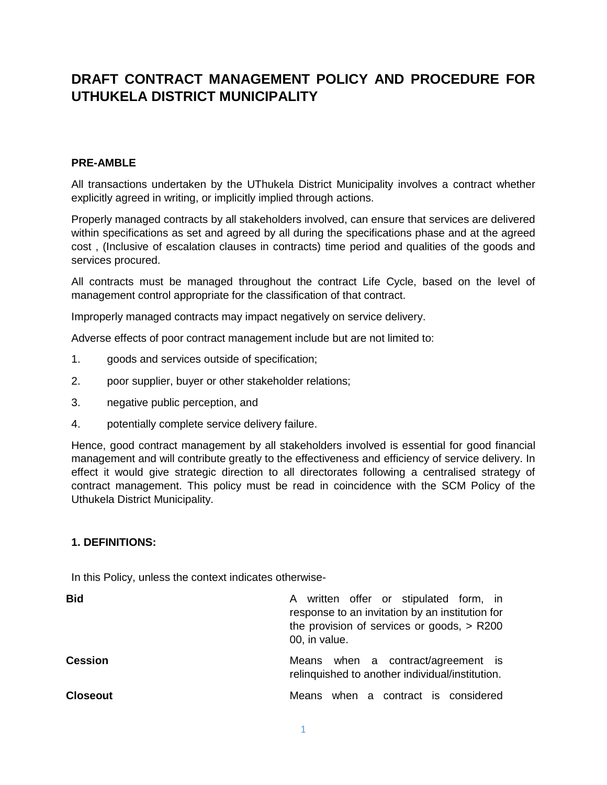# **DRAFT CONTRACT MANAGEMENT POLICY AND PROCEDURE FOR UTHUKELA DISTRICT MUNICIPALITY**

## **PRE-AMBLE**

All transactions undertaken by the UThukela District Municipality involves a contract whether explicitly agreed in writing, or implicitly implied through actions.

Properly managed contracts by all stakeholders involved, can ensure that services are delivered within specifications as set and agreed by all during the specifications phase and at the agreed cost , (Inclusive of escalation clauses in contracts) time period and qualities of the goods and services procured.

All contracts must be managed throughout the contract Life Cycle, based on the level of management control appropriate for the classification of that contract.

Improperly managed contracts may impact negatively on service delivery.

Adverse effects of poor contract management include but are not limited to:

- 1. goods and services outside of specification;
- 2. poor supplier, buyer or other stakeholder relations;
- 3. negative public perception, and
- 4. potentially complete service delivery failure.

Hence, good contract management by all stakeholders involved is essential for good financial management and will contribute greatly to the effectiveness and efficiency of service delivery. In effect it would give strategic direction to all directorates following a centralised strategy of contract management. This policy must be read in coincidence with the SCM Policy of the Uthukela District Municipality.

#### **1. DEFINITIONS:**

In this Policy, unless the context indicates otherwise-

| <b>Bid</b>     | A written offer or stipulated form, in<br>response to an invitation by an institution for<br>the provision of services or goods, $>$ R200<br>00, in value. |
|----------------|------------------------------------------------------------------------------------------------------------------------------------------------------------|
| <b>Cession</b> | Means when a contract/agreement is<br>relinquished to another individual/institution.                                                                      |
| Closeout       | Means when a contract is considered                                                                                                                        |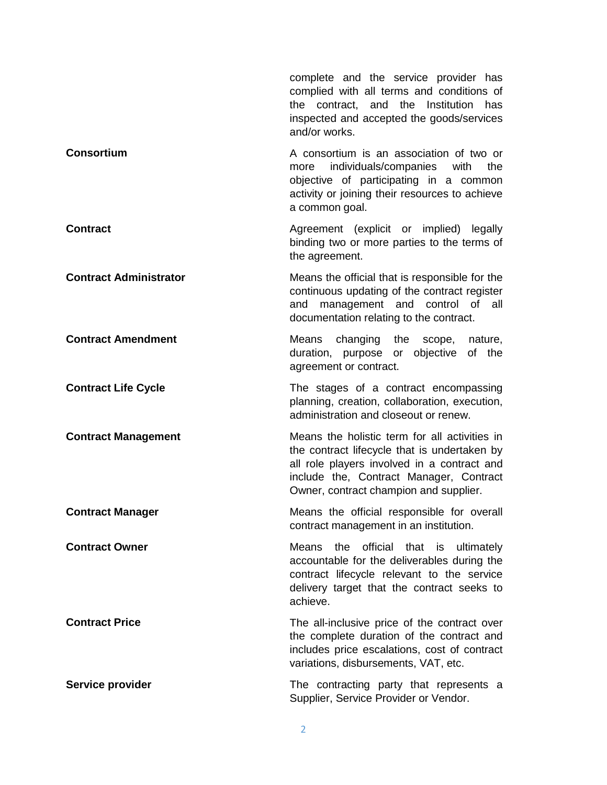|                               | complete and the service provider has<br>complied with all terms and conditions of<br>contract, and the Institution<br>the<br>has<br>inspected and accepted the goods/services<br>and/or works.                                   |
|-------------------------------|-----------------------------------------------------------------------------------------------------------------------------------------------------------------------------------------------------------------------------------|
| <b>Consortium</b>             | A consortium is an association of two or<br>individuals/companies with<br>the<br>more<br>objective of participating in a common<br>activity or joining their resources to achieve<br>a common goal.                               |
| <b>Contract</b>               | Agreement (explicit or implied) legally<br>binding two or more parties to the terms of<br>the agreement.                                                                                                                          |
| <b>Contract Administrator</b> | Means the official that is responsible for the<br>continuous updating of the contract register<br>management and control of all<br>and<br>documentation relating to the contract.                                                 |
| <b>Contract Amendment</b>     | changing the<br>Means<br>scope, nature,<br>duration, purpose or objective<br>of the<br>agreement or contract.                                                                                                                     |
| <b>Contract Life Cycle</b>    | The stages of a contract encompassing<br>planning, creation, collaboration, execution,<br>administration and closeout or renew.                                                                                                   |
| <b>Contract Management</b>    | Means the holistic term for all activities in<br>the contract lifecycle that is undertaken by<br>all role players involved in a contract and<br>include the, Contract Manager, Contract<br>Owner, contract champion and supplier. |
| <b>Contract Manager</b>       | Means the official responsible for overall<br>contract management in an institution.                                                                                                                                              |
| <b>Contract Owner</b>         | the official that is<br>Means<br>ultimately<br>accountable for the deliverables during the<br>contract lifecycle relevant to the service<br>delivery target that the contract seeks to<br>achieve.                                |
| <b>Contract Price</b>         | The all-inclusive price of the contract over<br>the complete duration of the contract and<br>includes price escalations, cost of contract<br>variations, disbursements, VAT, etc.                                                 |
| Service provider              | The contracting party that represents a<br>Supplier, Service Provider or Vendor.                                                                                                                                                  |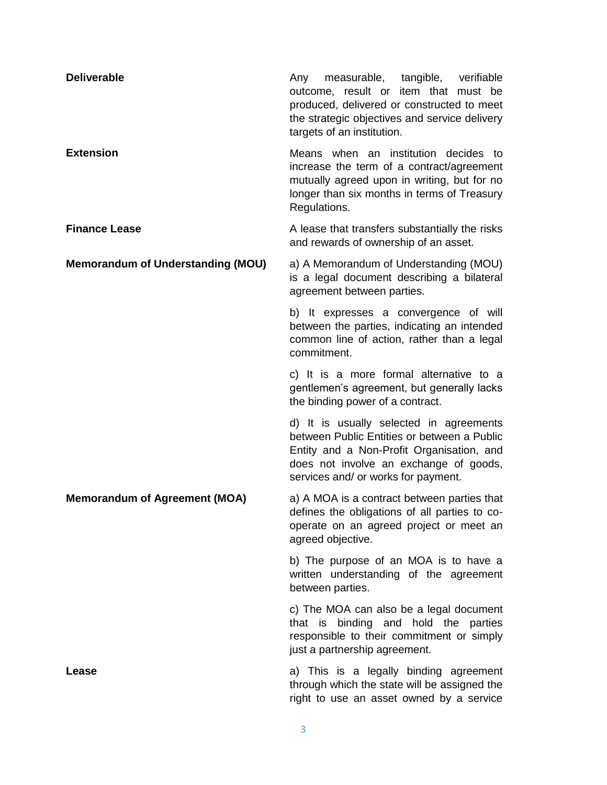| <b>Deliverable</b>                       | measurable, tangible, verifiable<br>Any<br>outcome, result or item that must be<br>produced, delivered or constructed to meet<br>the strategic objectives and service delivery<br>targets of an institution.         |
|------------------------------------------|----------------------------------------------------------------------------------------------------------------------------------------------------------------------------------------------------------------------|
| <b>Extension</b>                         | Means when an institution decides to<br>increase the term of a contract/agreement<br>mutually agreed upon in writing, but for no<br>longer than six months in terms of Treasury<br>Regulations.                      |
| <b>Finance Lease</b>                     | A lease that transfers substantially the risks<br>and rewards of ownership of an asset.                                                                                                                              |
| <b>Memorandum of Understanding (MOU)</b> | a) A Memorandum of Understanding (MOU)<br>is a legal document describing a bilateral<br>agreement between parties.                                                                                                   |
|                                          | b) It expresses a convergence of will<br>between the parties, indicating an intended<br>common line of action, rather than a legal<br>commitment.                                                                    |
|                                          | c) It is a more formal alternative to a<br>gentlemen's agreement, but generally lacks<br>the binding power of a contract.                                                                                            |
|                                          | d) It is usually selected in agreements<br>between Public Entities or between a Public<br>Entity and a Non-Profit Organisation, and<br>does not involve an exchange of goods,<br>services and/ or works for payment. |
| <b>Memorandum of Agreement (MOA)</b>     | a) A MOA is a contract between parties that<br>defines the obligations of all parties to co-<br>operate on an agreed project or meet an<br>agreed objective.                                                         |
|                                          | b) The purpose of an MOA is to have a<br>written understanding of the agreement<br>between parties.                                                                                                                  |
|                                          | c) The MOA can also be a legal document<br>that is binding and hold the parties<br>responsible to their commitment or simply<br>just a partnership agreement.                                                        |
| Lease                                    | a) This is a legally binding agreement<br>through which the state will be assigned the<br>right to use an asset owned by a service                                                                                   |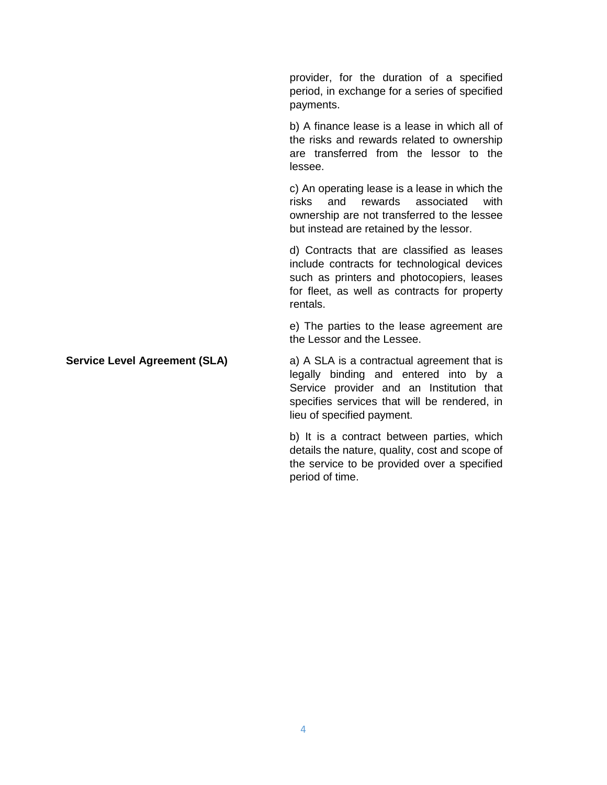provider, for the duration of a specified period, in exchange for a series of specified payments.

b) A finance lease is a lease in which all of the risks and rewards related to ownership are transferred from the lessor to the lessee.

c) An operating lease is a lease in which the risks and rewards associated with ownership are not transferred to the lessee but instead are retained by the lessor.

d) Contracts that are classified as leases include contracts for technological devices such as printers and photocopiers, leases for fleet, as well as contracts for property rentals.

e) The parties to the lease agreement are the Lessor and the Lessee.

## **Service Level Agreement (SLA) a)** A SLA is a contractual agreement that is legally binding and entered into by a Service provider and an Institution that specifies services that will be rendered, in lieu of specified payment.

b) It is a contract between parties, which details the nature, quality, cost and scope of the service to be provided over a specified period of time.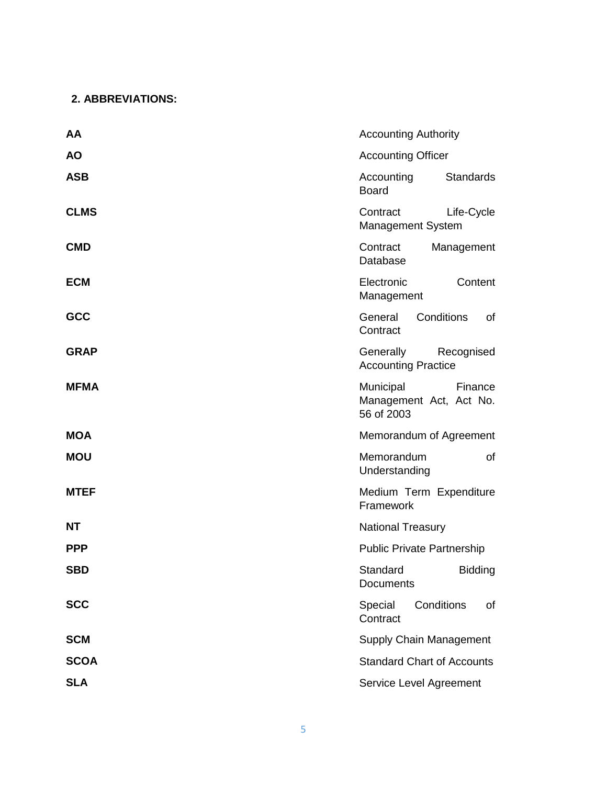## **2. ABBREVIATIONS:**

| AA          | <b>Accounting Authority</b>                                   |
|-------------|---------------------------------------------------------------|
| <b>AO</b>   | <b>Accounting Officer</b>                                     |
| <b>ASB</b>  | <b>Standards</b><br>Accounting<br><b>Board</b>                |
| <b>CLMS</b> | Contract<br>Life-Cycle<br>Management System                   |
| <b>CMD</b>  | Contract<br>Management<br>Database                            |
| <b>ECM</b>  | Electronic<br>Content<br>Management                           |
| GCC         | Conditions<br>General<br>of<br>Contract                       |
| <b>GRAP</b> | Generally<br>Recognised<br><b>Accounting Practice</b>         |
| <b>MFMA</b> | Municipal<br>Finance<br>Management Act, Act No.<br>56 of 2003 |
| <b>MOA</b>  | Memorandum of Agreement                                       |
| <b>MOU</b>  | Memorandum<br>of<br>Understanding                             |
| <b>MTEF</b> | Medium Term Expenditure<br>Framework                          |
| NT          | <b>National Treasury</b>                                      |
| <b>PPP</b>  | <b>Public Private Partnership</b>                             |
| <b>SBD</b>  | Standard<br><b>Bidding</b><br><b>Documents</b>                |
| <b>SCC</b>  | Conditions<br>Special<br>of<br>Contract                       |
| <b>SCM</b>  | Supply Chain Management                                       |
| <b>SCOA</b> | <b>Standard Chart of Accounts</b>                             |
| <b>SLA</b>  | Service Level Agreement                                       |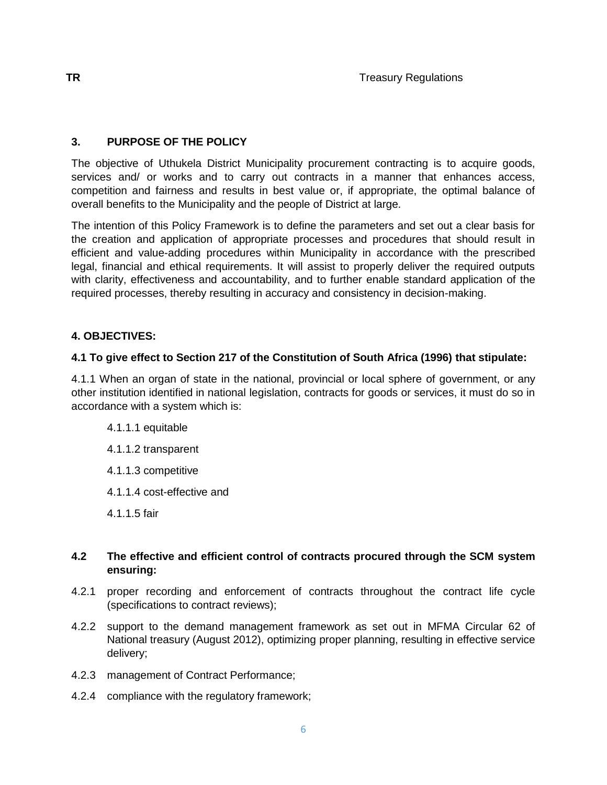## **3. PURPOSE OF THE POLICY**

The objective of Uthukela District Municipality procurement contracting is to acquire goods, services and/ or works and to carry out contracts in a manner that enhances access, competition and fairness and results in best value or, if appropriate, the optimal balance of overall benefits to the Municipality and the people of District at large.

The intention of this Policy Framework is to define the parameters and set out a clear basis for the creation and application of appropriate processes and procedures that should result in efficient and value-adding procedures within Municipality in accordance with the prescribed legal, financial and ethical requirements. It will assist to properly deliver the required outputs with clarity, effectiveness and accountability, and to further enable standard application of the required processes, thereby resulting in accuracy and consistency in decision-making.

## **4. OBJECTIVES:**

## **4.1 To give effect to Section 217 of the Constitution of South Africa (1996) that stipulate:**

4.1.1 When an organ of state in the national, provincial or local sphere of government, or any other institution identified in national legislation, contracts for goods or services, it must do so in accordance with a system which is:

## 4.1.1.1 equitable

- 4.1.1.2 transparent
- 4.1.1.3 competitive
- 4.1.1.4 cost-effective and
- 4.1.1.5 fair

## **4.2 The effective and efficient control of contracts procured through the SCM system ensuring:**

- 4.2.1 proper recording and enforcement of contracts throughout the contract life cycle (specifications to contract reviews);
- 4.2.2 support to the demand management framework as set out in MFMA Circular 62 of National treasury (August 2012), optimizing proper planning, resulting in effective service delivery;
- 4.2.3 management of Contract Performance;
- 4.2.4 compliance with the regulatory framework;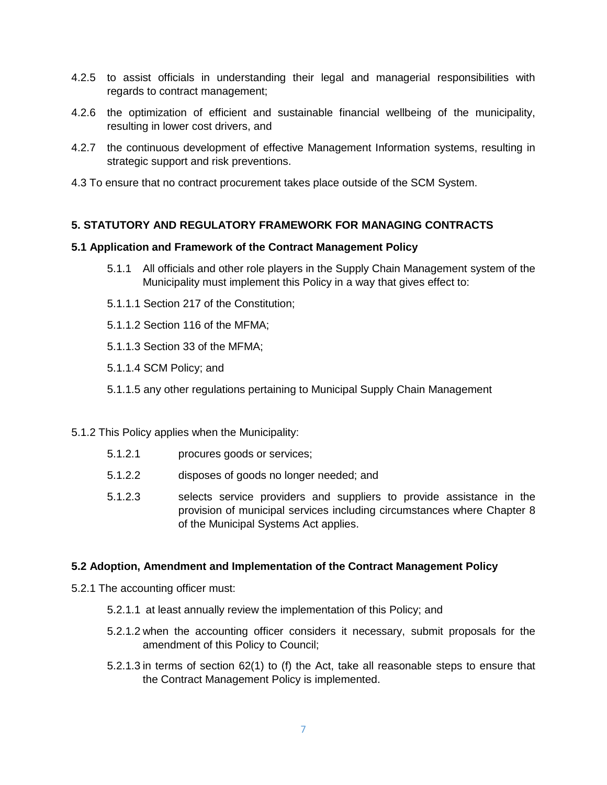- 4.2.5 to assist officials in understanding their legal and managerial responsibilities with regards to contract management;
- 4.2.6 the optimization of efficient and sustainable financial wellbeing of the municipality, resulting in lower cost drivers, and
- 4.2.7 the continuous development of effective Management Information systems, resulting in strategic support and risk preventions.
- 4.3 To ensure that no contract procurement takes place outside of the SCM System.

## **5. STATUTORY AND REGULATORY FRAMEWORK FOR MANAGING CONTRACTS**

### **5.1 Application and Framework of the Contract Management Policy**

- 5.1.1 All officials and other role players in the Supply Chain Management system of the Municipality must implement this Policy in a way that gives effect to:
- 5.1.1.1 Section 217 of the Constitution;
- 5.1.1.2 Section 116 of the MFMA;
- 5.1.1.3 Section 33 of the MFMA;
- 5.1.1.4 SCM Policy; and
- 5.1.1.5 any other regulations pertaining to Municipal Supply Chain Management

#### 5.1.2 This Policy applies when the Municipality:

- 5.1.2.1 procures goods or services;
- 5.1.2.2 disposes of goods no longer needed; and
- 5.1.2.3 selects service providers and suppliers to provide assistance in the provision of municipal services including circumstances where Chapter 8 of the Municipal Systems Act applies.

#### **5.2 Adoption, Amendment and Implementation of the Contract Management Policy**

- 5.2.1 The accounting officer must:
	- 5.2.1.1 at least annually review the implementation of this Policy; and
	- 5.2.1.2 when the accounting officer considers it necessary, submit proposals for the amendment of this Policy to Council;
	- 5.2.1.3 in terms of section 62(1) to (f) the Act, take all reasonable steps to ensure that the Contract Management Policy is implemented.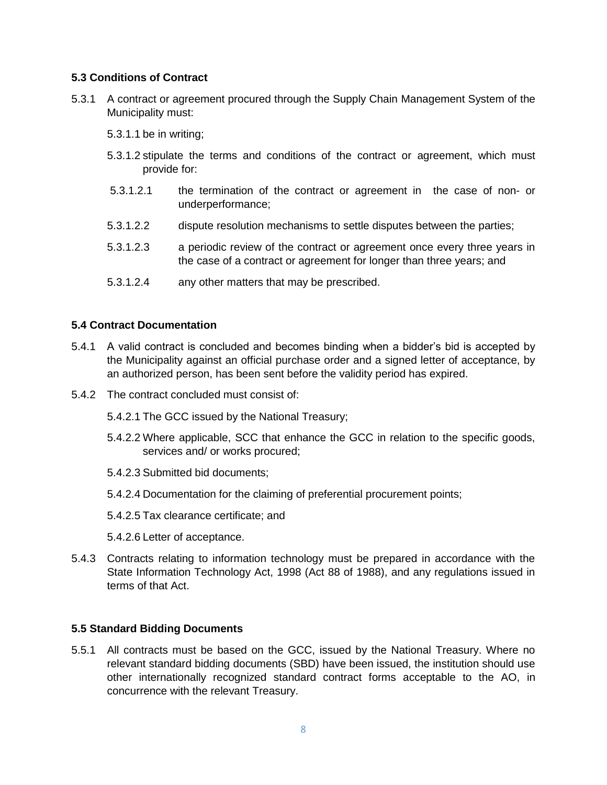## **5.3 Conditions of Contract**

- 5.3.1 A contract or agreement procured through the Supply Chain Management System of the Municipality must:
	- 5.3.1.1 be in writing;
	- 5.3.1.2 stipulate the terms and conditions of the contract or agreement, which must provide for:
	- 5.3.1.2.1 the termination of the contract or agreement in the case of non- or underperformance;
	- 5.3.1.2.2 dispute resolution mechanisms to settle disputes between the parties;
	- 5.3.1.2.3 a periodic review of the contract or agreement once every three years in the case of a contract or agreement for longer than three years; and
	- 5.3.1.2.4 any other matters that may be prescribed.

## **5.4 Contract Documentation**

- 5.4.1 A valid contract is concluded and becomes binding when a bidder's bid is accepted by the Municipality against an official purchase order and a signed letter of acceptance, by an authorized person, has been sent before the validity period has expired.
- 5.4.2 The contract concluded must consist of:
	- 5.4.2.1 The GCC issued by the National Treasury;
	- 5.4.2.2 Where applicable, SCC that enhance the GCC in relation to the specific goods, services and/ or works procured;
	- 5.4.2.3 Submitted bid documents;
	- 5.4.2.4 Documentation for the claiming of preferential procurement points;
	- 5.4.2.5 Tax clearance certificate; and
	- 5.4.2.6 Letter of acceptance.
- 5.4.3 Contracts relating to information technology must be prepared in accordance with the State Information Technology Act, 1998 (Act 88 of 1988), and any regulations issued in terms of that Act.

#### **5.5 Standard Bidding Documents**

5.5.1 All contracts must be based on the GCC, issued by the National Treasury. Where no relevant standard bidding documents (SBD) have been issued, the institution should use other internationally recognized standard contract forms acceptable to the AO, in concurrence with the relevant Treasury.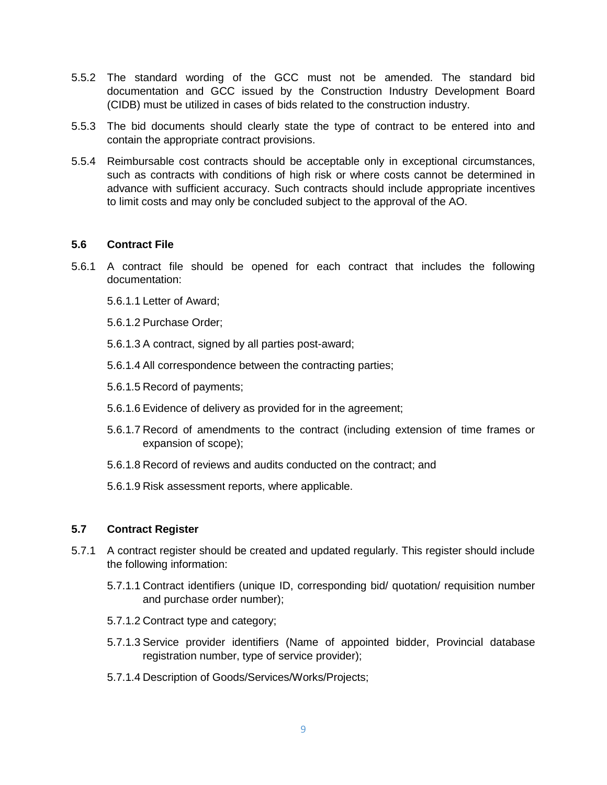- 5.5.2 The standard wording of the GCC must not be amended. The standard bid documentation and GCC issued by the Construction Industry Development Board (CIDB) must be utilized in cases of bids related to the construction industry.
- 5.5.3 The bid documents should clearly state the type of contract to be entered into and contain the appropriate contract provisions.
- 5.5.4 Reimbursable cost contracts should be acceptable only in exceptional circumstances, such as contracts with conditions of high risk or where costs cannot be determined in advance with sufficient accuracy. Such contracts should include appropriate incentives to limit costs and may only be concluded subject to the approval of the AO.

### **5.6 Contract File**

- 5.6.1 A contract file should be opened for each contract that includes the following documentation:
	- 5.6.1.1 Letter of Award;
	- 5.6.1.2 Purchase Order;
	- 5.6.1.3 A contract, signed by all parties post-award;
	- 5.6.1.4 All correspondence between the contracting parties;
	- 5.6.1.5 Record of payments;
	- 5.6.1.6 Evidence of delivery as provided for in the agreement;
	- 5.6.1.7 Record of amendments to the contract (including extension of time frames or expansion of scope);
	- 5.6.1.8 Record of reviews and audits conducted on the contract; and
	- 5.6.1.9 Risk assessment reports, where applicable.

## **5.7 Contract Register**

- 5.7.1 A contract register should be created and updated regularly. This register should include the following information:
	- 5.7.1.1 Contract identifiers (unique ID, corresponding bid/ quotation/ requisition number and purchase order number);
	- 5.7.1.2 Contract type and category;
	- 5.7.1.3 Service provider identifiers (Name of appointed bidder, Provincial database registration number, type of service provider);
	- 5.7.1.4 Description of Goods/Services/Works/Projects;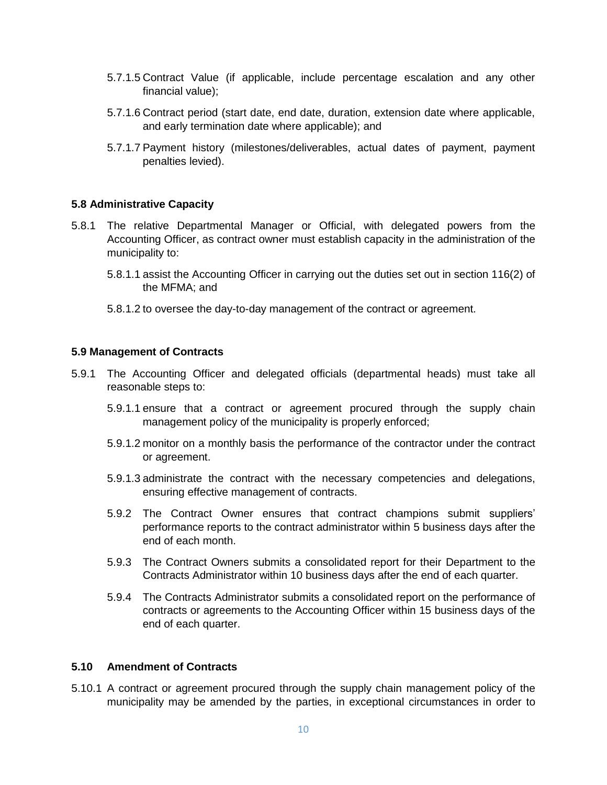- 5.7.1.5 Contract Value (if applicable, include percentage escalation and any other financial value);
- 5.7.1.6 Contract period (start date, end date, duration, extension date where applicable, and early termination date where applicable); and
- 5.7.1.7 Payment history (milestones/deliverables, actual dates of payment, payment penalties levied).

#### **5.8 Administrative Capacity**

- 5.8.1 The relative Departmental Manager or Official, with delegated powers from the Accounting Officer, as contract owner must establish capacity in the administration of the municipality to:
	- 5.8.1.1 assist the Accounting Officer in carrying out the duties set out in section 116(2) of the MFMA; and
	- 5.8.1.2 to oversee the day-to-day management of the contract or agreement.

#### **5.9 Management of Contracts**

- 5.9.1 The Accounting Officer and delegated officials (departmental heads) must take all reasonable steps to:
	- 5.9.1.1 ensure that a contract or agreement procured through the supply chain management policy of the municipality is properly enforced;
	- 5.9.1.2 monitor on a monthly basis the performance of the contractor under the contract or agreement.
	- 5.9.1.3 administrate the contract with the necessary competencies and delegations, ensuring effective management of contracts.
	- 5.9.2 The Contract Owner ensures that contract champions submit suppliers' performance reports to the contract administrator within 5 business days after the end of each month.
	- 5.9.3 The Contract Owners submits a consolidated report for their Department to the Contracts Administrator within 10 business days after the end of each quarter.
	- 5.9.4 The Contracts Administrator submits a consolidated report on the performance of contracts or agreements to the Accounting Officer within 15 business days of the end of each quarter.

#### **5.10 Amendment of Contracts**

5.10.1 A contract or agreement procured through the supply chain management policy of the municipality may be amended by the parties, in exceptional circumstances in order to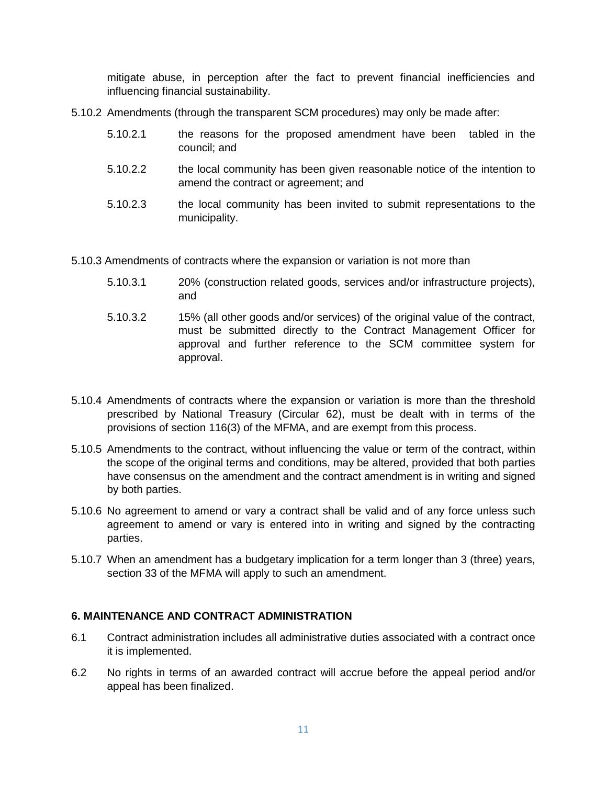mitigate abuse, in perception after the fact to prevent financial inefficiencies and influencing financial sustainability.

- 5.10.2 Amendments (through the transparent SCM procedures) may only be made after:
	- 5.10.2.1 the reasons for the proposed amendment have been tabled in the council; and
	- 5.10.2.2 the local community has been given reasonable notice of the intention to amend the contract or agreement; and
	- 5.10.2.3 the local community has been invited to submit representations to the municipality.

5.10.3 Amendments of contracts where the expansion or variation is not more than

- 5.10.3.1 20% (construction related goods, services and/or infrastructure projects), and
- 5.10.3.2 15% (all other goods and/or services) of the original value of the contract, must be submitted directly to the Contract Management Officer for approval and further reference to the SCM committee system for approval.
- 5.10.4 Amendments of contracts where the expansion or variation is more than the threshold prescribed by National Treasury (Circular 62), must be dealt with in terms of the provisions of section 116(3) of the MFMA, and are exempt from this process.
- 5.10.5 Amendments to the contract, without influencing the value or term of the contract, within the scope of the original terms and conditions, may be altered, provided that both parties have consensus on the amendment and the contract amendment is in writing and signed by both parties.
- 5.10.6 No agreement to amend or vary a contract shall be valid and of any force unless such agreement to amend or vary is entered into in writing and signed by the contracting parties.
- 5.10.7 When an amendment has a budgetary implication for a term longer than 3 (three) years, section 33 of the MFMA will apply to such an amendment.

## **6. MAINTENANCE AND CONTRACT ADMINISTRATION**

- 6.1 Contract administration includes all administrative duties associated with a contract once it is implemented.
- 6.2 No rights in terms of an awarded contract will accrue before the appeal period and/or appeal has been finalized.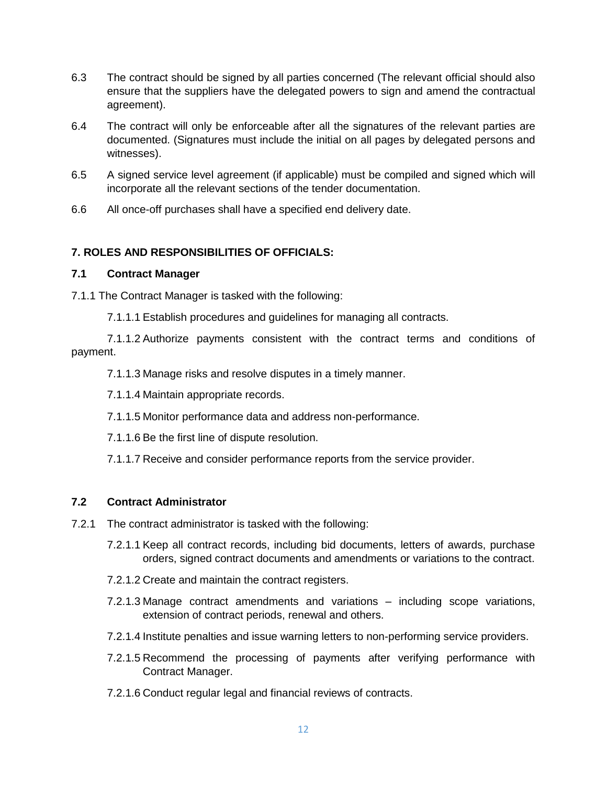- 6.3 The contract should be signed by all parties concerned (The relevant official should also ensure that the suppliers have the delegated powers to sign and amend the contractual agreement).
- 6.4 The contract will only be enforceable after all the signatures of the relevant parties are documented. (Signatures must include the initial on all pages by delegated persons and witnesses).
- 6.5 A signed service level agreement (if applicable) must be compiled and signed which will incorporate all the relevant sections of the tender documentation.
- 6.6 All once-off purchases shall have a specified end delivery date.

## **7. ROLES AND RESPONSIBILITIES OF OFFICIALS:**

## **7.1 Contract Manager**

7.1.1 The Contract Manager is tasked with the following:

7.1.1.1 Establish procedures and guidelines for managing all contracts.

7.1.1.2 Authorize payments consistent with the contract terms and conditions of payment.

7.1.1.3 Manage risks and resolve disputes in a timely manner.

7.1.1.4 Maintain appropriate records.

7.1.1.5 Monitor performance data and address non-performance.

7.1.1.6 Be the first line of dispute resolution.

7.1.1.7 Receive and consider performance reports from the service provider.

## **7.2 Contract Administrator**

- 7.2.1 The contract administrator is tasked with the following:
	- 7.2.1.1 Keep all contract records, including bid documents, letters of awards, purchase orders, signed contract documents and amendments or variations to the contract.
	- 7.2.1.2 Create and maintain the contract registers.
	- 7.2.1.3 Manage contract amendments and variations including scope variations, extension of contract periods, renewal and others.
	- 7.2.1.4 Institute penalties and issue warning letters to non-performing service providers.
	- 7.2.1.5 Recommend the processing of payments after verifying performance with Contract Manager.
	- 7.2.1.6 Conduct regular legal and financial reviews of contracts.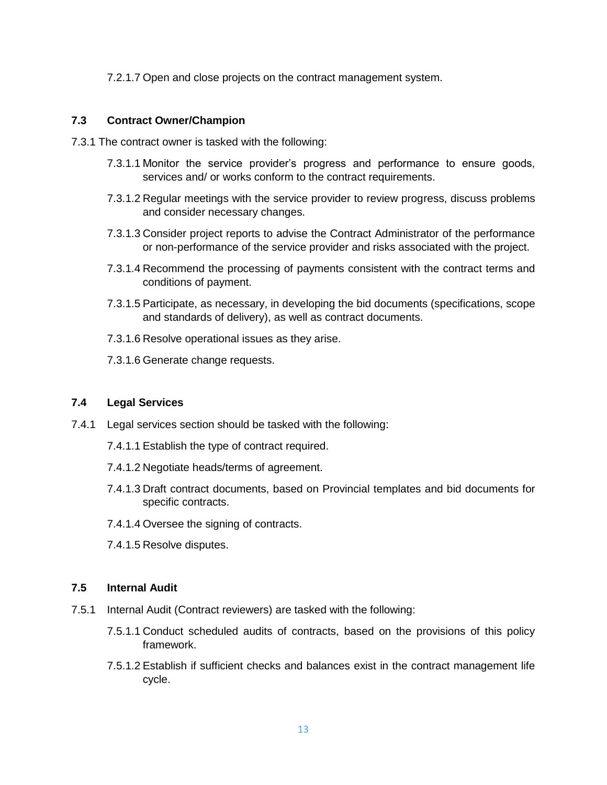7.2.1.7 Open and close projects on the contract management system.

## **7.3 Contract Owner/Champion**

- 7.3.1 The contract owner is tasked with the following:
	- 7.3.1.1 Monitor the service provider's progress and performance to ensure goods, services and/ or works conform to the contract requirements.
	- 7.3.1.2 Regular meetings with the service provider to review progress, discuss problems and consider necessary changes.
	- 7.3.1.3 Consider project reports to advise the Contract Administrator of the performance or non-performance of the service provider and risks associated with the project.
	- 7.3.1.4 Recommend the processing of payments consistent with the contract terms and conditions of payment.
	- 7.3.1.5 Participate, as necessary, in developing the bid documents (specifications, scope and standards of delivery), as well as contract documents.
	- 7.3.1.6 Resolve operational issues as they arise.
	- 7.3.1.6 Generate change requests.

## **7.4 Legal Services**

- 7.4.1 Legal services section should be tasked with the following:
	- 7.4.1.1 Establish the type of contract required.
	- 7.4.1.2 Negotiate heads/terms of agreement.
	- 7.4.1.3 Draft contract documents, based on Provincial templates and bid documents for specific contracts.
	- 7.4.1.4 Oversee the signing of contracts.
	- 7.4.1.5 Resolve disputes.

#### **7.5 Internal Audit**

- 7.5.1 Internal Audit (Contract reviewers) are tasked with the following:
	- 7.5.1.1 Conduct scheduled audits of contracts, based on the provisions of this policy framework.
	- 7.5.1.2 Establish if sufficient checks and balances exist in the contract management life cycle.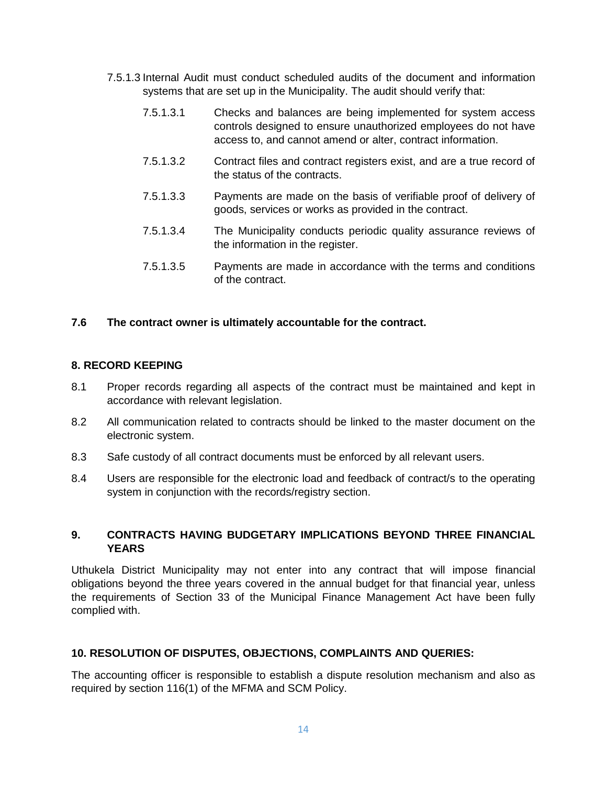- 7.5.1.3 Internal Audit must conduct scheduled audits of the document and information systems that are set up in the Municipality. The audit should verify that:
	- 7.5.1.3.1 Checks and balances are being implemented for system access controls designed to ensure unauthorized employees do not have access to, and cannot amend or alter, contract information.
	- 7.5.1.3.2 Contract files and contract registers exist, and are a true record of the status of the contracts.
	- 7.5.1.3.3 Payments are made on the basis of verifiable proof of delivery of goods, services or works as provided in the contract.
	- 7.5.1.3.4 The Municipality conducts periodic quality assurance reviews of the information in the register.
	- 7.5.1.3.5 Payments are made in accordance with the terms and conditions of the contract.

### **7.6 The contract owner is ultimately accountable for the contract.**

### **8. RECORD KEEPING**

- 8.1 Proper records regarding all aspects of the contract must be maintained and kept in accordance with relevant legislation.
- 8.2 All communication related to contracts should be linked to the master document on the electronic system.
- 8.3 Safe custody of all contract documents must be enforced by all relevant users.
- 8.4 Users are responsible for the electronic load and feedback of contract/s to the operating system in conjunction with the records/registry section.

## **9. CONTRACTS HAVING BUDGETARY IMPLICATIONS BEYOND THREE FINANCIAL YEARS**

Uthukela District Municipality may not enter into any contract that will impose financial obligations beyond the three years covered in the annual budget for that financial year, unless the requirements of Section 33 of the Municipal Finance Management Act have been fully complied with.

## **10. RESOLUTION OF DISPUTES, OBJECTIONS, COMPLAINTS AND QUERIES:**

The accounting officer is responsible to establish a dispute resolution mechanism and also as required by section 116(1) of the MFMA and SCM Policy.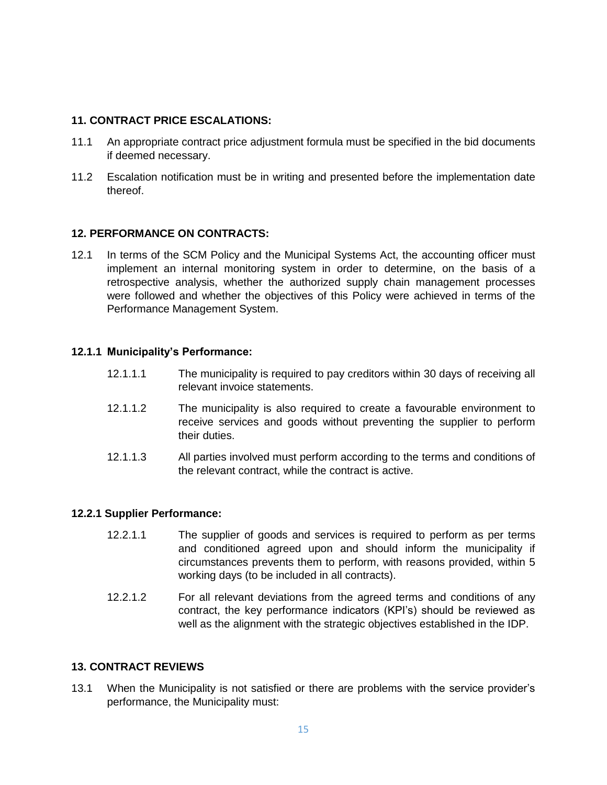## **11. CONTRACT PRICE ESCALATIONS:**

- 11.1 An appropriate contract price adjustment formula must be specified in the bid documents if deemed necessary.
- 11.2 Escalation notification must be in writing and presented before the implementation date thereof.

## **12. PERFORMANCE ON CONTRACTS:**

12.1 In terms of the SCM Policy and the Municipal Systems Act, the accounting officer must implement an internal monitoring system in order to determine, on the basis of a retrospective analysis, whether the authorized supply chain management processes were followed and whether the objectives of this Policy were achieved in terms of the Performance Management System.

### **12.1.1 Municipality's Performance:**

- 12.1.1.1 The municipality is required to pay creditors within 30 days of receiving all relevant invoice statements.
- 12.1.1.2 The municipality is also required to create a favourable environment to receive services and goods without preventing the supplier to perform their duties.
- 12.1.1.3 All parties involved must perform according to the terms and conditions of the relevant contract, while the contract is active.

#### **12.2.1 Supplier Performance:**

- 12.2.1.1 The supplier of goods and services is required to perform as per terms and conditioned agreed upon and should inform the municipality if circumstances prevents them to perform, with reasons provided, within 5 working days (to be included in all contracts).
- 12.2.1.2 For all relevant deviations from the agreed terms and conditions of any contract, the key performance indicators (KPI's) should be reviewed as well as the alignment with the strategic objectives established in the IDP.

## **13. CONTRACT REVIEWS**

13.1 When the Municipality is not satisfied or there are problems with the service provider's performance, the Municipality must: